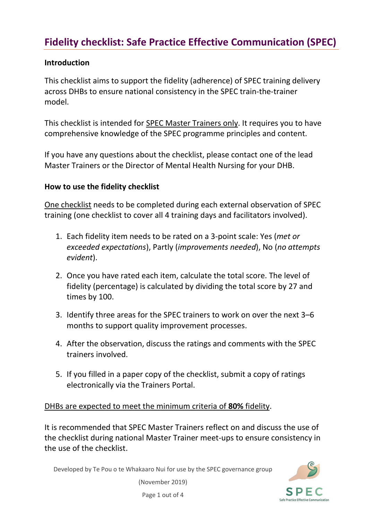## **Fidelity checklist: Safe Practice Effective Communication (SPEC)**

## **Introduction**

This checklist aims to support the fidelity (adherence) of SPEC training delivery across DHBs to ensure national consistency in the SPEC train-the-trainer model.

This checklist is intended for SPEC Master Trainers only. It requires you to have comprehensive knowledge of the SPEC programme principles and content.

If you have any questions about the checklist, please contact one of the lead Master Trainers or the Director of Mental Health Nursing for your DHB.

## **How to use the fidelity checklist**

One checklist needs to be completed during each external observation of SPEC training (one checklist to cover all 4 training days and facilitators involved).

- 1. Each fidelity item needs to be rated on a 3-point scale: Yes (*met or exceeded expectations*), Partly (*improvements needed*), No (*no attempts evident*).
- 2. Once you have rated each item, calculate the total score. The level of fidelity (percentage) is calculated by dividing the total score by 27 and times by 100.
- 3. Identify three areas for the SPEC trainers to work on over the next 3–6 months to support quality improvement processes.
- 4. After the observation, discuss the ratings and comments with the SPEC trainers involved.
- 5. If you filled in a paper copy of the checklist, submit a copy of ratings electronically via the Trainers Portal.

DHBs are expected to meet the minimum criteria of **80%** fidelity.

It is recommended that SPEC Master Trainers reflect on and discuss the use of the checklist during national Master Trainer meet-ups to ensure consistency in the use of the checklist.

Developed by Te Pou o te Whakaaro Nui for use by the SPEC governance group



(November 2019)

Page 1 out of 4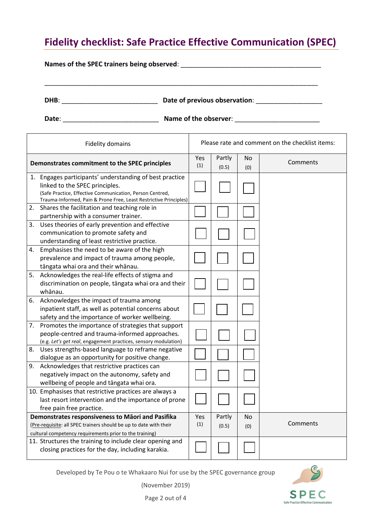## **Fidelity checklist: Safe Practice Effective Communication (SPEC)**

\_\_\_\_\_\_\_\_\_\_\_\_\_\_\_\_\_\_\_\_\_\_\_\_\_\_\_\_\_\_\_\_\_\_\_\_\_\_\_\_\_\_\_\_\_\_\_\_\_\_\_\_\_\_\_\_\_\_\_\_\_\_\_\_\_\_\_\_\_\_\_\_\_\_

**Names** of the SPEC trainers being observed:  $\blacksquare$ 

**DHB**: \_\_\_\_\_\_\_\_\_\_\_\_\_\_\_\_\_\_\_\_\_\_\_\_\_\_ **Date of previous observation**: \_\_\_\_\_\_\_\_\_\_\_\_\_\_\_\_\_\_

**Date: Contract 2.2 Contract 2.2 Name of the observer:**  $\blacksquare$ 

| <b>Fidelity domains</b>                                                                                                                                                                                                    |  | Please rate and comment on the checklist items: |                 |           |          |
|----------------------------------------------------------------------------------------------------------------------------------------------------------------------------------------------------------------------------|--|-------------------------------------------------|-----------------|-----------|----------|
| Demonstrates commitment to the SPEC principles                                                                                                                                                                             |  | Yes<br>(1)                                      | Partly<br>(0.5) | No<br>(0) | Comments |
| 1. Engages participants' understanding of best practice<br>linked to the SPEC principles.<br>(Safe Practice, Effective Communication, Person Centred,<br>Trauma-Informed, Pain & Prone Free, Least Restrictive Principles) |  |                                                 |                 |           |          |
| Shares the facilitation and teaching role in<br>2.<br>partnership with a consumer trainer.                                                                                                                                 |  |                                                 |                 |           |          |
| 3.<br>Uses theories of early prevention and effective<br>communication to promote safety and<br>understanding of least restrictive practice.                                                                               |  |                                                 |                 |           |          |
| 4.<br>Emphasises the need to be aware of the high<br>prevalence and impact of trauma among people,<br>tāngata whai ora and their whānau.                                                                                   |  |                                                 |                 |           |          |
| 5.<br>Acknowledges the real-life effects of stigma and<br>discrimination on people, tāngata whai ora and their<br>whānau.                                                                                                  |  |                                                 |                 |           |          |
| Acknowledges the impact of trauma among<br>6.<br>inpatient staff, as well as potential concerns about<br>safety and the importance of worker wellbeing.                                                                    |  |                                                 |                 |           |          |
| Promotes the importance of strategies that support<br>7.<br>people-centred and trauma-informed approaches.<br>(e.g. Let's get real, engagement practices, sensory modulation)                                              |  |                                                 |                 |           |          |
| 8.<br>Uses strengths-based language to reframe negative<br>dialogue as an opportunity for positive change.                                                                                                                 |  |                                                 |                 |           |          |
| 9.<br>Acknowledges that restrictive practices can<br>negatively impact on the autonomy, safety and<br>wellbeing of people and tāngata whai ora.                                                                            |  |                                                 |                 |           |          |
| 10. Emphasises that restrictive practices are always a<br>last resort intervention and the importance of prone<br>free pain free practice.                                                                                 |  |                                                 |                 |           |          |
| Demonstrates responsiveness to Māori and Pasifika<br>(Pre-requisite: all SPEC trainers should be up to date with their<br>cultural competency requirements prior to the training)                                          |  | Yes<br>(1)                                      | Partly<br>(0.5) | No<br>(0) | Comments |
| 11. Structures the training to include clear opening and<br>closing practices for the day, including karakia.                                                                                                              |  |                                                 |                 |           |          |

Developed by Te Pou o te Whakaaro Nui for use by the SPEC governance group

(November 2019)

**SPEC** Safe Practice Effective Communication

<u>ල</u>

Page 2 out of 4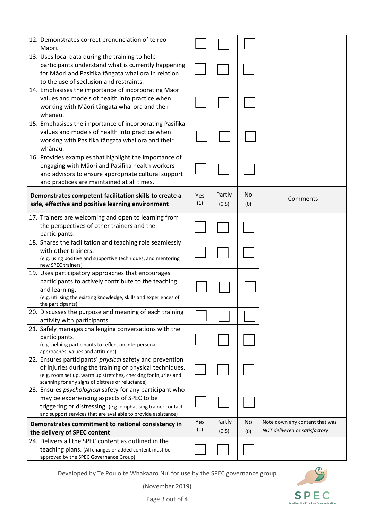| 12. Demonstrates correct pronunciation of te reo<br>Māori.                                                                                                                                                                                  |            |                 |           |                                                                        |
|---------------------------------------------------------------------------------------------------------------------------------------------------------------------------------------------------------------------------------------------|------------|-----------------|-----------|------------------------------------------------------------------------|
| 13. Uses local data during the training to help<br>participants understand what is currently happening<br>for Māori and Pasifika tāngata whai ora in relation<br>to the use of seclusion and restraints.                                    |            |                 |           |                                                                        |
| 14. Emphasises the importance of incorporating Māori<br>values and models of health into practice when<br>working with Māori tāngata whai ora and their<br>whānau.                                                                          |            |                 |           |                                                                        |
| 15. Emphasises the importance of incorporating Pasifika<br>values and models of health into practice when<br>working with Pasifika tāngata whai ora and their<br>whānau.                                                                    |            |                 |           |                                                                        |
| 16. Provides examples that highlight the importance of<br>engaging with Māori and Pasifika health workers<br>and advisors to ensure appropriate cultural support<br>and practices are maintained at all times.                              |            |                 |           |                                                                        |
| Demonstrates competent facilitation skills to create a<br>safe, effective and positive learning environment                                                                                                                                 | Yes<br>(1) | Partly<br>(0.5) | No<br>(0) | Comments                                                               |
| 17. Trainers are welcoming and open to learning from<br>the perspectives of other trainers and the<br>participants.                                                                                                                         |            |                 |           |                                                                        |
| 18. Shares the facilitation and teaching role seamlessly<br>with other trainers.<br>(e.g. using positive and supportive techniques, and mentoring<br>new SPEC trainers)                                                                     |            |                 |           |                                                                        |
| 19. Uses participatory approaches that encourages<br>participants to actively contribute to the teaching<br>and learning.<br>(e.g. utilising the existing knowledge, skills and experiences of<br>the participants)                         |            |                 |           |                                                                        |
| 20. Discusses the purpose and meaning of each training<br>activity with participants.                                                                                                                                                       |            |                 |           |                                                                        |
| 21. Safely manages challenging conversations with the<br>participants.<br>(e.g. helping participants to reflect on interpersonal<br>approaches, values and attitudes)                                                                       |            |                 |           |                                                                        |
| 22. Ensures participants' physical safety and prevention<br>of injuries during the training of physical techniques.<br>(e.g. room set up, warm up stretches, checking for injuries and<br>scanning for any signs of distress or reluctance) |            |                 |           |                                                                        |
| 23. Ensures psychological safety for any participant who<br>may be experiencing aspects of SPEC to be<br>triggering or distressing. (e.g. emphasising trainer contact<br>and support services that are available to provide assistance)     |            |                 |           |                                                                        |
| Demonstrates commitment to national consistency in<br>the delivery of SPEC content                                                                                                                                                          | Yes<br>(1) | Partly<br>(0.5) | No<br>(0) | Note down any content that was<br><b>NOT</b> delivered or satisfactory |
| 24. Delivers all the SPEC content as outlined in the<br>teaching plans. (All changes or added content must be<br>approved by the SPEC Governance Group)                                                                                     |            |                 |           |                                                                        |

Developed by Te Pou o te Whakaaro Nui for use by the SPEC governance group



(November 2019)